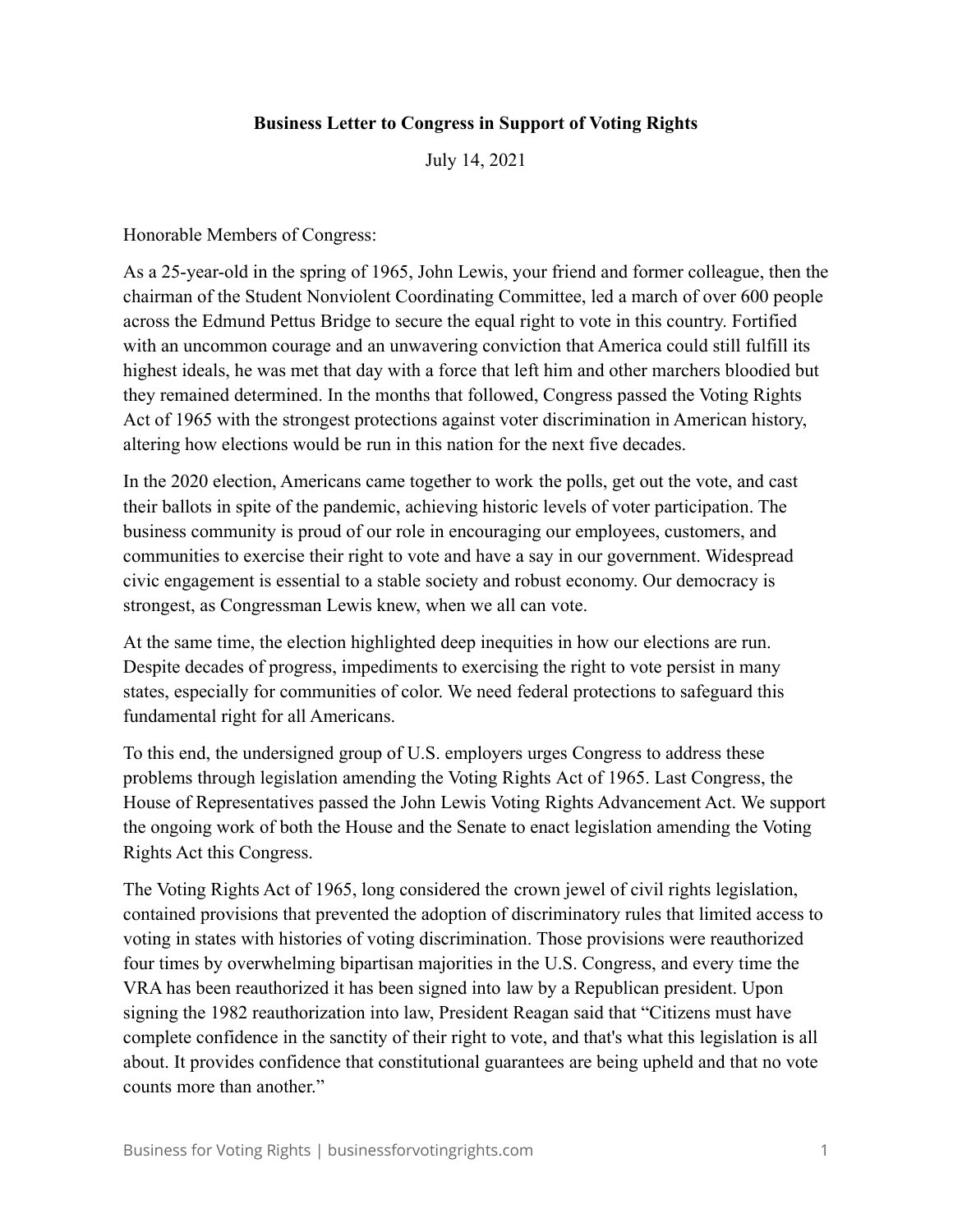## **Business Letter to Congress in Support of Voting Rights**

July 14, 2021

Honorable Members of Congress:

As a 25-year-old in the spring of 1965, John Lewis, your friend and former colleague, then the chairman of the Student Nonviolent Coordinating Committee, led a march of over 600 people across the Edmund Pettus Bridge to secure the equal right to vote in this country. Fortified with an uncommon courage and an unwavering conviction that America could still fulfill its highest ideals, he was met that day with a force that left him and other marchers bloodied but they remained determined. In the months that followed, Congress passed the Voting Rights Act of 1965 with the strongest protections against voter discrimination in American history, altering how elections would be run in this nation for the next five decades.

In the 2020 election, Americans came together to work the polls, get out the vote, and cast their ballots in spite of the pandemic, achieving historic levels of voter participation. The business community is proud of our role in encouraging our employees, customers, and communities to exercise their right to vote and have a say in our government. Widespread civic engagement is essential to a stable society and robust economy. Our democracy is strongest, as Congressman Lewis knew, when we all can vote.

At the same time, the election highlighted deep inequities in how our elections are run. Despite decades of progress, impediments to exercising the right to vote persist in many states, especially for communities of color. We need federal protections to safeguard this fundamental right for all Americans.

To this end, the undersigned group of U.S. employers urges Congress to address these problems through legislation amending the Voting Rights Act of 1965. Last Congress, the House of Representatives passed the John Lewis Voting Rights Advancement Act. We support the ongoing work of both the House and the Senate to enact legislation amending the Voting Rights Act this Congress.

The Voting Rights Act of 1965, long considered the crown jewel of civil rights legislation, contained provisions that prevented the adoption of discriminatory rules that limited access to voting in states with histories of voting discrimination. Those provisions were reauthorized four times by overwhelming bipartisan majorities in the U.S. Congress, and every time the VRA has been reauthorized it has been signed into law by a Republican president. Upon signing the 1982 reauthorization into law, President Reagan said that "Citizens must have complete confidence in the sanctity of their right to vote, and that's what this legislation is all about. It provides confidence that constitutional guarantees are being upheld and that no vote counts more than another."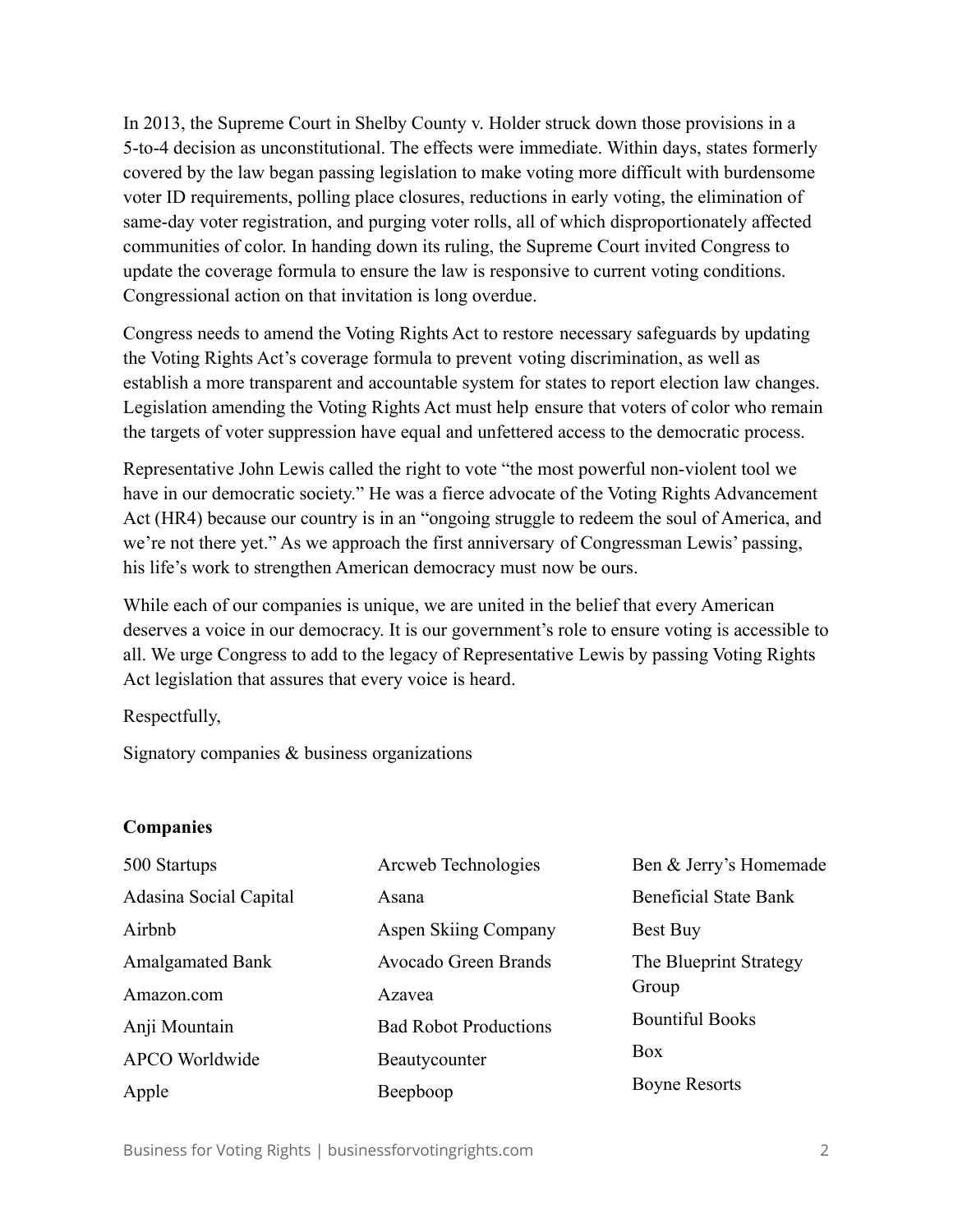In 2013, the Supreme Court in Shelby County v. Holder struck down those provisions in a 5-to-4 decision as unconstitutional. The effects were immediate. Within days, states formerly covered by the law began passing legislation to make voting more difficult with burdensome voter ID requirements, polling place closures, reductions in early voting, the elimination of same-day voter registration, and purging voter rolls, all of which disproportionately affected communities of color. In handing down its ruling, the Supreme Court invited Congress to update the coverage formula to ensure the law is responsive to current voting conditions. Congressional action on that invitation is long overdue.

Congress needs to amend the Voting Rights Act to restore necessary safeguards by updating the Voting Rights Act's coverage formula to prevent voting discrimination, as well as establish a more transparent and accountable system for states to report election law changes. Legislation amending the Voting Rights Act must help ensure that voters of color who remain the targets of voter suppression have equal and unfettered access to the democratic process.

Representative John Lewis called the right to vote "the most powerful non-violent tool we have in our democratic society." He was a fierce advocate of the Voting Rights Advancement Act (HR4) because our country is in an "ongoing struggle to redeem the soul of America, and we're not there yet." As we approach the first anniversary of Congressman Lewis' passing, his life's work to strengthen American democracy must now be ours.

While each of our companies is unique, we are united in the belief that every American deserves a voice in our democracy. It is our government's role to ensure voting is accessible to all. We urge Congress to add to the legacy of Representative Lewis by passing Voting Rights Act legislation that assures that every voice is heard.

Respectfully,

Signatory companies & business organizations

## **Companies**

| 500 Startups                  | Arcweb Technologies          | Ben & Jerry's Homemade       |
|-------------------------------|------------------------------|------------------------------|
| <b>Adasina Social Capital</b> | Asana                        | <b>Beneficial State Bank</b> |
| Airbnb                        | <b>Aspen Skiing Company</b>  | Best Buy                     |
| <b>Amalgamated Bank</b>       | Avocado Green Brands         | The Blueprint Strategy       |
| Amazon.com                    | Azavea                       | Group                        |
| Anji Mountain                 | <b>Bad Robot Productions</b> | <b>Bountiful Books</b>       |
| <b>APCO</b> Worldwide         | Beautycounter                | Box                          |
| Apple                         | Beepboop                     | <b>Boyne Resorts</b>         |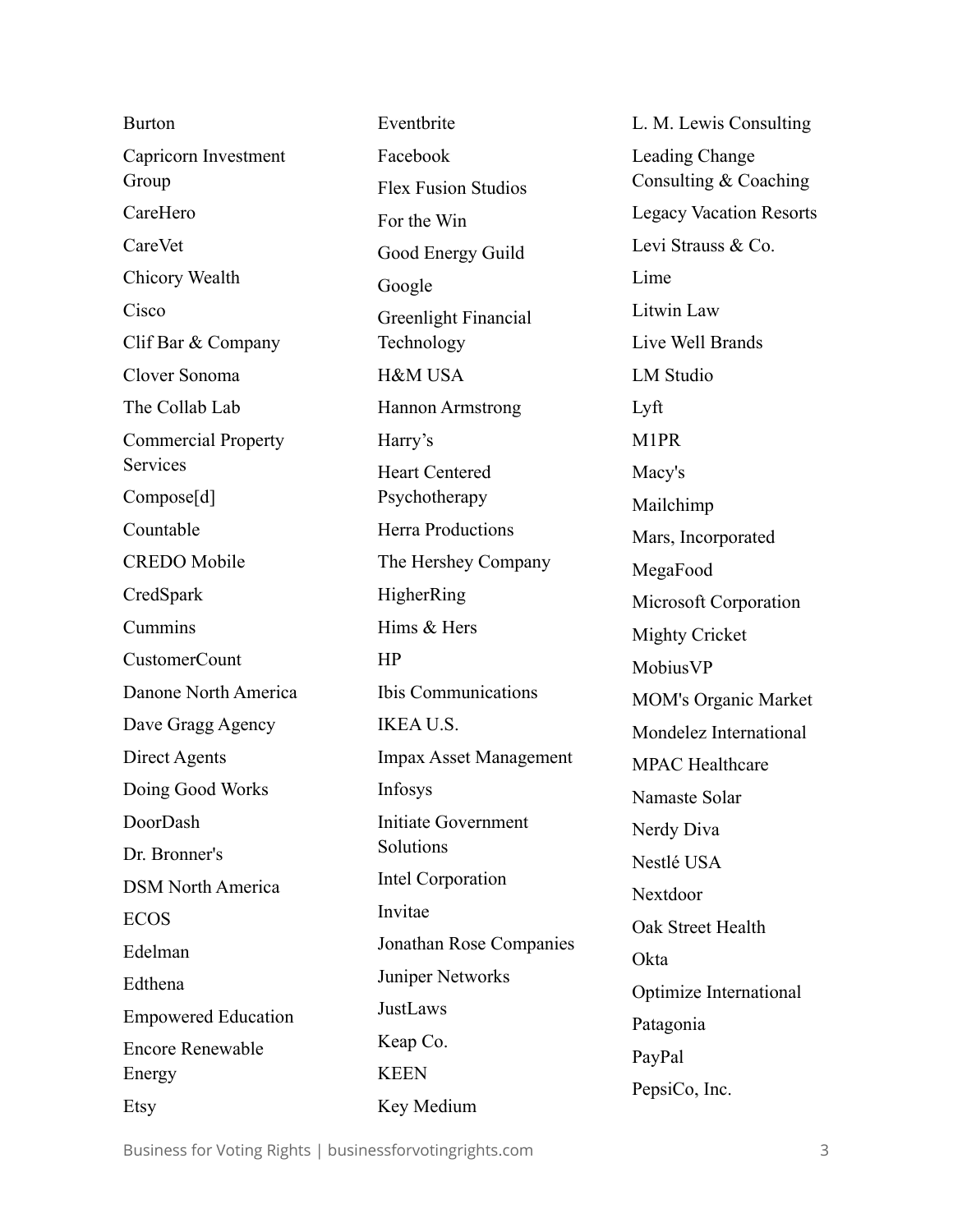| <b>Burton</b>              | Eventbrite                    | L. M. Lew        |
|----------------------------|-------------------------------|------------------|
| Capricorn Investment       | Facebook                      | Leading Cl       |
| Group                      | <b>Flex Fusion Studios</b>    | Consulting       |
| CareHero                   | For the Win                   | Legacy Va        |
| CareVet                    | Good Energy Guild             | Levi Straus      |
| Chicory Wealth             | Google                        | Lime             |
| Cisco                      | Greenlight Financial          | Litwin Lav       |
| Clif Bar & Company         | Technology                    | Live Well 1      |
| Clover Sonoma              | <b>H&amp;M USA</b>            | <b>LM</b> Studio |
| The Collab Lab             | <b>Hannon Armstrong</b>       | Lyft             |
| <b>Commercial Property</b> | Harry's                       | M1PR             |
| <b>Services</b>            | <b>Heart Centered</b>         | Macy's           |
| Compose[d]                 | Psychotherapy                 | Mailchimp        |
| Countable                  | <b>Herra Productions</b>      | Mars, Inco       |
| <b>CREDO</b> Mobile        | The Hershey Company           | MegaFood         |
| CredSpark                  | HigherRing                    | Microsoft        |
| Cummins                    | Hims & Hers                   | Mighty Cri       |
| <b>CustomerCount</b>       | HP                            | MobiusVP         |
| Danone North America       | Ibis Communications           | MOM's Or         |
| Dave Gragg Agency          | <b>IKEA U.S.</b>              | Mondelez         |
| Direct Agents              | <b>Impax Asset Management</b> | MPAC Hea         |
| Doing Good Works           | Infosys                       | Namaste S        |
| DoorDash                   | Initiate Government           | Nerdy Div        |
| Dr. Bronner's              | Solutions                     | Nestlé US        |
| <b>DSM North America</b>   | Intel Corporation             | Nextdoor         |
| <b>ECOS</b>                | Invitae                       | Oak Street       |
| Edelman                    | Jonathan Rose Companies       | Okta             |
| Edthena                    | Juniper Networks              | Optimize I       |
| <b>Empowered Education</b> | JustLaws                      |                  |
| <b>Encore Renewable</b>    | Keap Co.                      | Patagonia        |
| Energy                     | <b>KEEN</b>                   | PayPal           |
| Etsy                       | Key Medium                    | PepsiCo, In      |

is Consulting hange g & Coaching cation Resorts  $\mathop{\mathrm{ss}}\nolimits \&$  Co.  $W$ **Brands** LM Studio Mailchimp orporated MegaFood Corporation icket MobiusVP rganic Market International althcare Solar  $\alpha$  $\overline{A}$ Health International  $nc$ .

Business for Voting Rights | businessforvotingrights.com 3